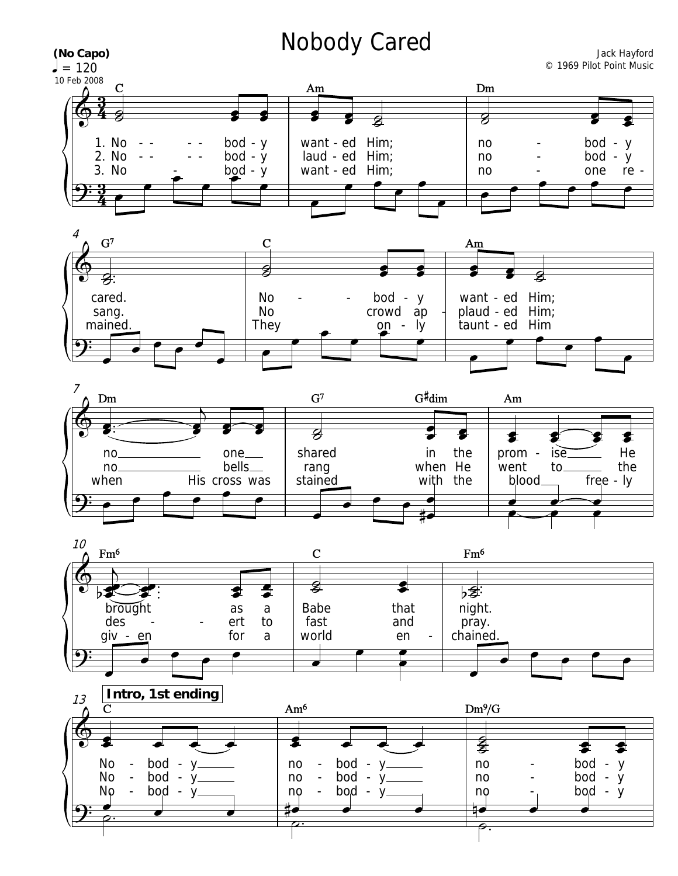## Nobody Cared

<u>3</u>  $\frac{3}{4}$ <u>3</u>  $\frac{3}{4}$  $= 120$ © 1969 Pilot Point Music  $\Phi$ 3. No 1. No 2. No **(No Capo)** 10 Feb 2008 C  $\vec{z}$  bod y bod y -  $\frac{b \cdot d - y}{d}$ - - - - - - - - want - ed Him; laud - ed Him; want - ed Him; Am  $\overrightarrow{ }$  $\frac{1}{2}$  $\overline{\bullet}$  $\overrightarrow{ }$  $\overline{\bullet}$  $\overline{\bullet}$   $\overline{\mathbf{g}}$  no no no Dm  $\overline{z}$ bod y bod y one - - re -  $\overline{\bullet}$   $\overrightarrow{ }$  $\overline{\bullet}$  $9:3$  $\bullet$ .<br>P  $\bullet$  $\overline{\phantom{a}}$  $\overline{\phantom{0}}$  $\overline{\phantom{a}}$  $\overline{\phantom{a}}$  $\overrightarrow{p}$   $\overrightarrow{p}$   $\overrightarrow{p}$   $\overrightarrow{p}$ 









Jack Hayford